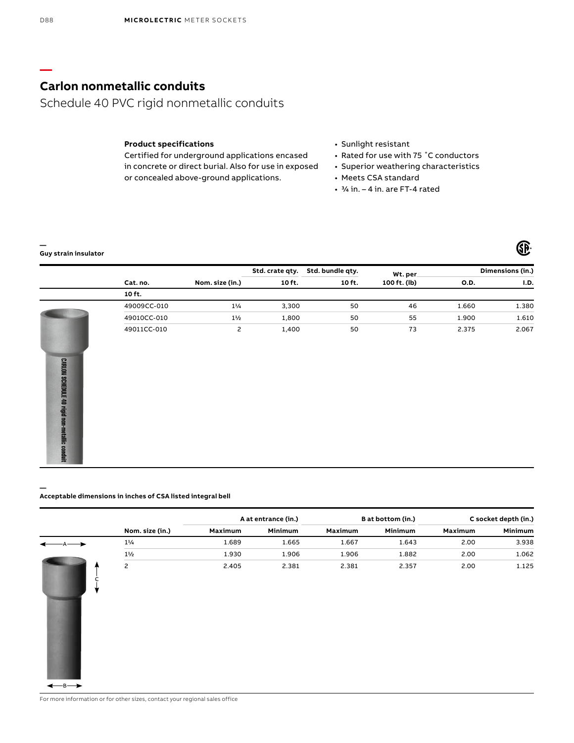# **Carlon nonmetallic conduits**

Schedule 40 PVC rigid nonmetallic conduits

### **Product specifications**

Certified for underground applications encased in concrete or direct burial. Also for use in exposed or concealed above-ground applications.

- Sunlight resistant
- Rated for use with 75 ˚C conductors
- Superior weathering characteristics

**GE** 

- Meets CSA standard
- 3/4 in. 4 in. are FT-4 rated

#### **— Guy strain insulator**

**—**

E 40 rigid non-metallic condui

 $-B \longrightarrow$ 

|                      |             |                 | Std. crate qty. | Std. bundle qty. | Wt. per      |             | Dimensions (in.) |
|----------------------|-------------|-----------------|-----------------|------------------|--------------|-------------|------------------|
|                      | Cat. no.    | Nom. size (in.) | 10 ft.          | 10 ft.           | 100 ft. (lb) | <b>O.D.</b> | I.D.             |
|                      | 10 ft.      |                 |                 |                  |              |             |                  |
|                      | 49009CC-010 | $1\frac{1}{4}$  | 3,300           | 50               | 46           | 1.660       | 1.380            |
|                      | 49010CC-010 | $1\frac{1}{2}$  | 1,800           | 50               | 55           | 1.900       | 1.610            |
|                      | 49011CC-010 | 2               | 1,400           | 50               | 73           | 2.375       | 2.067            |
|                      |             |                 |                 |                  |              |             |                  |
|                      |             |                 |                 |                  |              |             |                  |
| <b>CARLON SCHEDU</b> |             |                 |                 |                  |              |             |                  |
|                      |             |                 |                 |                  |              |             |                  |
|                      |             |                 |                 |                  |              |             |                  |

#### **Acceptable dimensions in inches of CSA listed integral bell**

|                 |         | A at entrance (in.) |         | B at bottom (in.) |         | C socket depth (in.) |
|-----------------|---------|---------------------|---------|-------------------|---------|----------------------|
| Nom. size (in.) | Maximum | Minimum             | Maximum | Minimum           | Maximum | Minimum              |
| $1\frac{1}{4}$  | 1.689   | 1.665               | 1.667   | 1.643             | 2.00    | 3.938                |
| $1\frac{1}{2}$  | 1.930   | 1.906               | 1.906   | 1.882             | 2.00    | 1.062                |
| $\overline{c}$  | 2.405   | 2.381               | 2.381   | 2.357             | 2.00    | 1.125                |

For more information or for other sizes, contact your regional sales office

**—**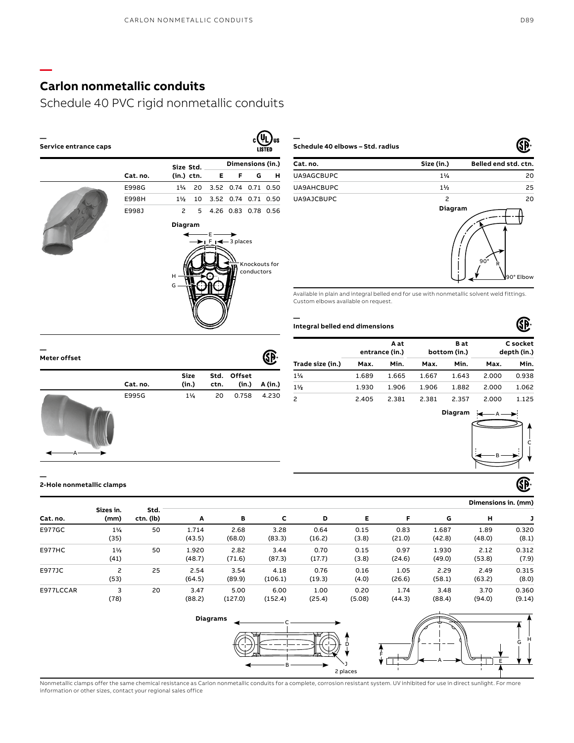# **Carlon nonmetallic conduits**

**—**

## Schedule 40 PVC rigid nonmetallic conduits

| Service entrance caps |          |                |              |                                                                      |                     |                             | US<br><b>LISTED</b> |
|-----------------------|----------|----------------|--------------|----------------------------------------------------------------------|---------------------|-----------------------------|---------------------|
|                       |          |                | Size Std.    |                                                                      |                     | Dimensions (in.)            |                     |
|                       | Cat. no. |                | $(in.)$ ctn. | Е                                                                    | F                   | G                           | н                   |
|                       | E998G    | $1\%$          |              | 20 3.52 0.74 0.71 0.50                                               |                     |                             |                     |
|                       | E998H    | $1\frac{1}{2}$ | 10           | 3.52 0.74 0.71 0.50                                                  |                     |                             |                     |
|                       | E998J    | $\mathsf{S}$   | 5            |                                                                      | 4.26 0.83 0.78 0.56 |                             |                     |
|                       |          | Diagram        |              |                                                                      |                     |                             |                     |
|                       |          |                |              | – E –<br>$\blacktriangleright$   F   $\blacktriangleleft$ - 3 places |                     |                             |                     |
|                       |          | н<br>G         |              |                                                                      |                     | Knockouts for<br>conductors |                     |

**— Schedule 40 elbows – Std. radius**

| Cat. no.   | Size (in.)     | Belled end std. ctn. |
|------------|----------------|----------------------|
| UA9AGCBUPC | $1\%$          | 20                   |
| UA9AHCBUPC | $1\frac{1}{2}$ | 25                   |
| UA9AJCBUPC | 2<br>Diagram   | 20                   |
|            |                |                      |

Available in plain and integral belled end for use with nonmetallic solvent weld fittings. Custom elbows available on request.

#### **— Integral belled end dimensions**

|                  |       | A at<br>entrance (in.) |              | B at<br>bottom (in.) |              | C socket<br>depth (in.) |  |
|------------------|-------|------------------------|--------------|----------------------|--------------|-------------------------|--|
| Trade size (in.) | Max.  | Min.                   | Min.<br>Max. |                      | Min.<br>Max. |                         |  |
| 1/4              | 1.689 | 1.665                  | 1.667        | 1.643                | 2.000        | 0.938                   |  |
| $1\frac{1}{2}$   | 1.930 | 1.906                  | 1.906        | 1.882                | 2.000        | 1.062                   |  |
| 2                | 2.405 | 2.381                  | 2.381        | 2.357                | 2.000        | 1.125                   |  |



**Size (in.)**

**Cat. no.**

**— 2-Hole nonmetallic clamps** (SP) **Dimensions in. (mm) Sizes in. Std. Cat. no. (mm) ctn. (lb) A B C D E F G H J** E977GC 11⁄4 50 1.714 2.68 3.28 0.64 0.15 0.83 1.687 1.89 0.320 (16.2) (48.0) (35) (43.5) (68.0) (83.3) (3.8) (21.0) (42.8) (8.1) E977HC 11⁄2 50 1.920 2.82 3.44 0.70 0.15 0.97 1.930 2.12 0.312 (41) (48.7) (71.6) (87.3) (17.7) (3.8) (24.6) (49.0) (53.8) (7.9) E977JC 2 25 2.54 3.54 4.18 0.76 0.16 1.05 2.29 2.49 0.315 (53) (64.5) (89.9) (106.1) (19.3) (4.0) (26.6) (58.1) (63.2) (8.0) 6.00 0.360 E977LCCAR 3 20 3.47 5.00 1.00 0.20 1.74 3.48 3.70 (78) (88.2) (127.0) (152.4) (25.4) (5.08) (44.3) (88.4) (94.0) (9.14)



Nonmetallic clamps offer the same chemical resistance as Carlon nonmetallic conduits for a complete, corrosion resistant system. UV inhibited for use in direct sunlight. For more information or other sizes, contact your regional sales office

**— Meter offset**

# E995G 11⁄4 20 0.758 4.230

**Offset** 

**(in.) A (in.)**

Œ

**Std. ctn.** GP.

90° Elbow

Œ

R 90°